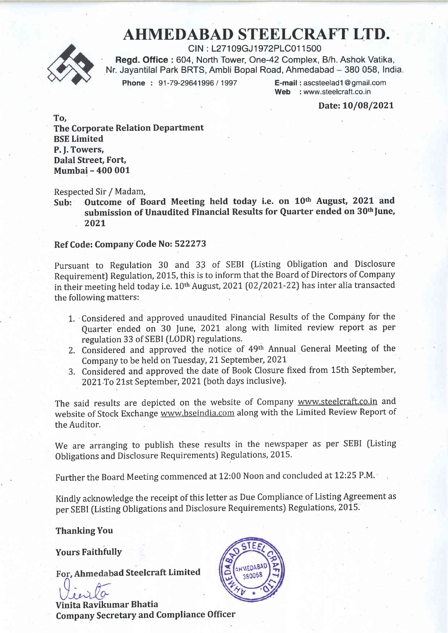# AHMEDABAD STEELCRAFT LTD.

CIN : L271 09GJ 1972PLC01 1 500 Regd. Office : 604, North Tower, One-42 Complex, B/h. Ashok Vatika, Nr. Jayantilal Park BRTS, Ambli Bopal Road, Ahmedabad - 380 058, India.<br>Phone: 91-79-29641996 / 1997 E-mail : ascsteelad1@gmail.com

Phone : 91-79-29641996 / 1997

Web : www.steelcraft.co.in

Date: 10/08/2021

To, The Corporate Relation Department BSE Limited P. f. Towers, Dalal Street, Fort, Mumbai - 400 001

Respected Sir / Madam,<br>Sub: Outcome of B

Outcome of Board Meeting held today i.e. on 10th August, 2021 and submission of Unaudited Financial Results for Quarter ended on 30<sup>th</sup> June, 2021

#### Ref Code: Company Code No: 522273

Pursuant to Regulation 30 and 33 of SEBI (Listing Obligation and Disclosure Requirement) Regulation, 2015, this is to inform that the Board of Directors of Company in their meeting held today i.e. 10<sup>th</sup> August, 2021 (02/2021-22) has inter alia transacted the following matters:

- 1. Considered and approved unaudited Financial Results of the Company for the Quarter ended on 30 lune, 2021 along with limited review report as per regulation 33 of SEBI (LODR) regulations'
- 2. Considered and approved the notice of 49th Annual General Meeting of the Company to be held on Tuesday, 21 September., 202L
- 3. Considered and approved the date of Book Closure fixed from 15th September, 2021 To 21st September, 2021 (both days inclusive).

The said results are depicted on the website of Company www.steelcraft.co.in and website of Stock Exchange www.bseindia.com along with the Limited Review Report of the Auditor.

We are arranging to publish these results in the newspaper as per SEBI (Listing Obligations and Disclosure Requirements) Regulations, 2015.

Further the Board Meeting commenced at 12:00 Noon and concluded at 12:25 P.M.

Kindly acknowledge the receipt of this letter as Due Compliance of Listing Agreement as per SEBI (Listing Obligations and Disclosure Requirements) Regulations, 2015.

**Thanking You** 

**Yours Faithfully** 

For, Ahmedabad Steelcraft Limited

Vinita Ravikumar Bhatia Company Secretary and Compliance Officer

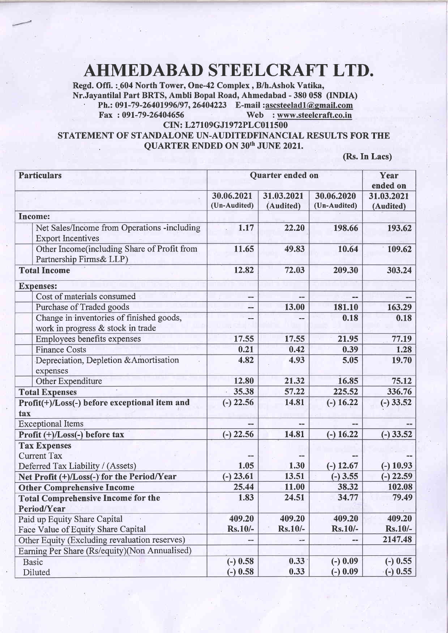# AHMEDABAD STEELCRAFT LTD.

Regd. Offi. :\_604 North Tower, One-42 Complex, B/h.Ashok Vatika,<br>Nr.Javantilal Part BRTS, Ambli Bopal Road, Ahmedabad - 380 058 (INDIA) Ph.: 091-79-26401996/97, 26404223 E-mail : $\frac{\text{asserted}}{\text{max}}$  : 091-79-26404656 Web : www.steelcraft.co.in Web : www.steelcraft.co.in

CIN: L27109GJ1972PLC011500

## STATEMENT OF STANDALONE UN-AUDITEDFINANCIAL RESULTS FOR THE QUARTER ENDED ON 30th JUNE 2021.

(Rs.In Lacs)

| <b>Particulars</b>                                                             | Quarter ended on           |                          |                            | Year<br>ended on         |
|--------------------------------------------------------------------------------|----------------------------|--------------------------|----------------------------|--------------------------|
|                                                                                | 30.06.2021<br>(Un-Audited) | 31.03.2021<br>(Audited)  | 30.06.2020<br>(Un-Audited) | 31.03.2021<br>(Audited)  |
| <b>Income:</b>                                                                 |                            |                          |                            |                          |
| Net Sales/Income from Operations -including<br><b>Export Incentives</b>        | 1.17                       | 22.20                    | 198.66                     | 193.62                   |
| Other Income(including Share of Profit from<br>Partnership Firms& LLP)         | 11.65                      | 49.83                    | 10.64                      | 109.62                   |
| <b>Total Income</b>                                                            | 12.82                      | 72.03                    | 209.30                     | 303.24                   |
| <b>Expenses:</b>                                                               |                            |                          |                            |                          |
| Cost of materials consumed                                                     | --                         |                          | $- -$                      |                          |
| Purchase of Traded goods                                                       | --                         | 13.00                    | 181.10                     | 163.29                   |
| Change in inventories of finished goods,<br>work in progress & stock in trade  |                            |                          | 0.18                       | 0.18                     |
| Employees benefits expenses                                                    | 17.55                      | 17.55                    | 21.95                      | 77.19                    |
| <b>Finance Costs</b>                                                           | 0.21                       | 0.42                     | 0.39                       | 1.28                     |
| Depreciation, Depletion & Amortisation<br>expenses                             | 4.82                       | 4.93                     | 5.05                       | 19.70                    |
| Other Expenditure                                                              | 12.80                      | 21.32                    | 16.85                      | 75.12                    |
| <b>Total Expenses</b>                                                          | 35.38                      | 57.22                    | 225.52                     | 336.76                   |
| Profit(+)/Loss(-) before exceptional item and<br>tax                           | $(-)$ 22.56                | 14.81                    | $(-) 16.22$                | $(-)33.52$               |
| <b>Exceptional Items</b>                                                       |                            |                          |                            |                          |
| Profit (+)/Loss(-) before tax                                                  | $(-)$ 22.56                | 14.81                    | $(-) 16.22$                | $(-)33.52$               |
| <b>Tax Expenses</b><br><b>Current Tax</b><br>Deferred Tax Liability / (Assets) | 1.05                       | 1.30                     | $(-)$ 12.67                | $(-) 10.93$              |
| Net Profit (+)/Loss(-) for the Period/Year                                     | $(-) 23.61$                | 13.51                    | $(-)$ 3.55                 | $(-)$ 22.59              |
| <b>Other Comprehensive Income</b>                                              | 25.44                      | 11.00                    | 38.32                      | 102.08                   |
| <b>Total Comprehensive Income for the</b>                                      | 1.83                       | 24.51                    | 34.77                      | 79.49                    |
| <b>Period/Year</b>                                                             |                            |                          |                            |                          |
| Paid up Equity Share Capital<br>Face Value of Equity Share Capital             | 409.20<br><b>Rs.10/-</b>   | 409.20<br><b>Rs.10/-</b> | 409.20<br>Rs.10/-          | 409.20<br>$Rs.10/-$      |
| Other Equity (Excluding revaluation reserves)                                  |                            | -−                       |                            | 2147.48                  |
| Earning Per Share (Rs/equity)(Non Annualised)                                  |                            |                          |                            |                          |
| <b>Basic</b><br>Diluted                                                        | $(-) 0.58$<br>$(-) 0.58$   | 0.33<br>0.33             | $(-) 0.09$<br>$(-) 0.09$   | $(-) 0.55$<br>$(-) 0.55$ |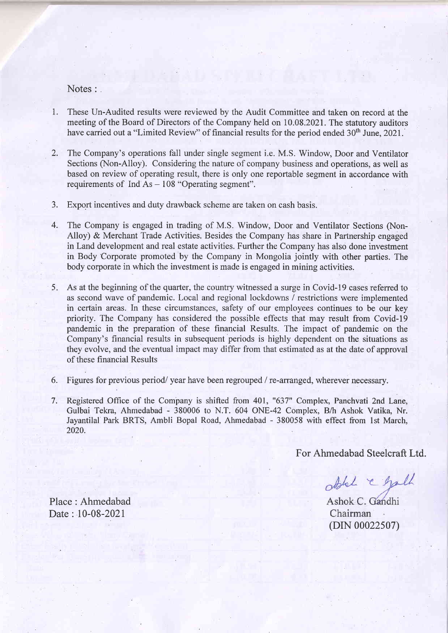## Notes :

- 1. These Un-Audited results were reviewed by the Audit Committee and taken on record at the meeting of the Board of Directors of the Company held on 10.08.2021. The statutory auditors have carried out a "Limited Review" of financial results for the period ended 30<sup>th</sup> June, 2021.
- 2. The Company's operations fall under single segment i.e. M.S. Window, Door and Ventilator Sections (Non-Alloy). Considering the nature of company business and operations, as well as based on review of operating result, there is only one reportable segment in accordance with requirements of  $Ind As - 108$  "Operating segment".
- Export incentives and duty drawback scheme are taken on cash basis. 3.
- The Company is engaged in trading of M.S. Window, Door and Ventilator Sections (Non-4. Alloy) & Merchant Trade Activities. Besides the Company has share in Partnership engaged in Land development and real estate activities. Further the Company has also done investment in Body Corporate promoted by the Company in Mongolia jointly with other parties. The body corporate in which the investment is made is engaged in mining activities.
- As at the beginning of the quarter, the country witnessed a surge in Covid-l9 cases referred to as second wave of pandemic. Local and regional lockdowns / restrictions were implemented in certain areas. In these circumstances, safety of our employees continues to be our key priority. The Company has considered the possible effects that may result from Covid-l9 pandemic in the preparation of these financial Results. The impact of pandemic on the Company's financial results in subsequent periods is highly dependent on the situations as they evolve, and the eventual impact may differ from that estimated as at the date of approval of these financial Results 5.
- 6. Figures for previous period/year have been regrouped / re-arranged, wherever necessary.
- Registered Office of the Company is shifted from 401, "637" Complex, Panchvati 2nd Lane, Gulbai Tekra, Ahmedabad - 380006 to N.T. 604 ONE-42 Complex, B/h Ashok Vatika, Nr. Jayantilal Park BRTS, Ambli Bopal Road, Ahmedabad - 380058 with effect from lst March, 2020. 7.

For Ahmedabad Steelcraft Ltd.

ablel & gall

Ashok C. Gandhi Chairman (DIN 00022507)

Place: Ahmedabad Date : 10-08-2021